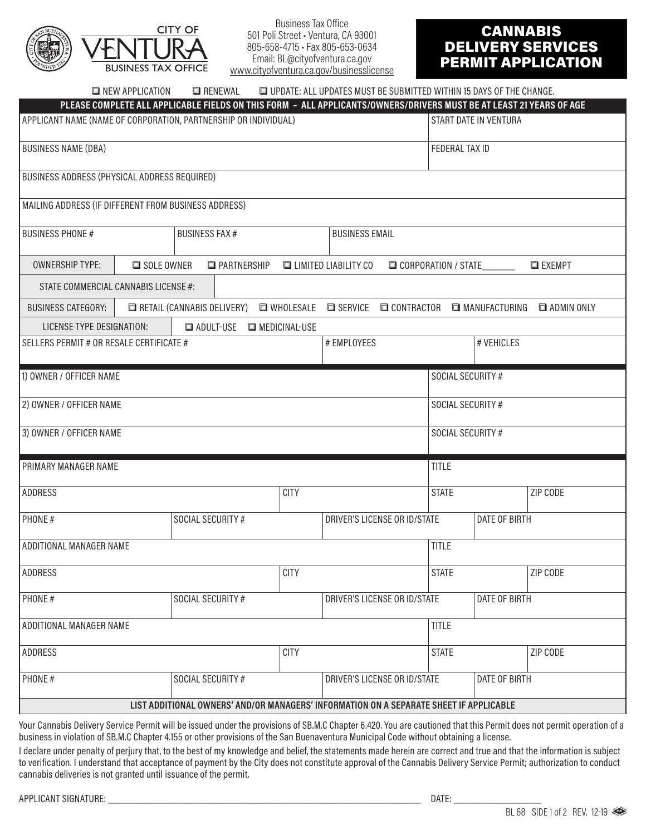

Business Tax Office 501 Poli Street • Ventura, CA 93001 805-658-4715 • Fax 805-653-0634 Email: BL@cityofventura.ca.gov www.cityofventura.ca.gov/businesslicense

# CANNABIS DELIVERY SERVICES PERMIT APPLICATION

| <b>E</b> NEW APPLICATION                                                                                                             | <b>E</b> RENEWAL                     |                              | UPDATE: ALL UPDATES MUST BE SUBMITTED WITHIN 15 DAYS OF THE CHANGE. |                       |               |                     |
|--------------------------------------------------------------------------------------------------------------------------------------|--------------------------------------|------------------------------|---------------------------------------------------------------------|-----------------------|---------------|---------------------|
| PLEASE COMPLETE ALL APPLICABLE FIELDS ON THIS FORM - ALL APPLICANTS/OWNERS/DRIVERS MUST BE AT LEAST 21 YEARS OF AGE                  |                                      |                              |                                                                     |                       |               |                     |
| APPLICANT NAME (NAME OF CORPORATION, PARTNERSHIP OR INDIVIDUAL)<br>START DATE IN VENTURA                                             |                                      |                              |                                                                     |                       |               |                     |
| <b>BUSINESS NAME (DBA)</b>                                                                                                           |                                      |                              |                                                                     | <b>FEDERAL TAX ID</b> |               |                     |
| BUSINESS ADDRESS (PHYSICAL ADDRESS REQUIRED)                                                                                         |                                      |                              |                                                                     |                       |               |                     |
| MAILING ADDRESS (IF DIFFERENT FROM BUSINESS ADDRESS)                                                                                 |                                      |                              |                                                                     |                       |               |                     |
| <b>BUSINESS FAX#</b><br><b>BUSINESS PHONE #</b>                                                                                      |                                      | <b>BUSINESS EMAIL</b>        |                                                                     |                       |               |                     |
| <b>OWNERSHIP TYPE:</b><br>SOLE OWNER<br><b>E</b> PARTNERSHIP<br><b>ELIMITED LIABILITY CO</b><br>CORPORATION / STATE<br><b>EXEMPT</b> |                                      |                              |                                                                     |                       |               |                     |
| STATE COMMERCIAL CANNABIS LICENSE #:                                                                                                 |                                      |                              |                                                                     |                       |               |                     |
| <b>BUSINESS CATEGORY:</b>                                                                                                            | $\Box$ RETAIL (CANNABIS DELIVERY)    | <b>NOLESALE</b>              | <b>O SERVICE CONTRACTOR O MANUFACTURING</b>                         |                       |               | <b>E</b> ADMIN ONLY |
| <b>LICENSE TYPE DESIGNATION:</b>                                                                                                     | <b>EN ADULT-USE EN MEDICINAL-USE</b> |                              |                                                                     |                       |               |                     |
| # EMPLOYEES<br>SELLERS PERMIT # OR RESALE CERTIFICATE #                                                                              |                                      |                              |                                                                     | # VEHICLES            |               |                     |
| 1) OWNER / OFFICER NAME                                                                                                              |                                      |                              |                                                                     | SOCIAL SECURITY #     |               |                     |
| 2) OWNER / OFFICER NAME<br>SOCIAL SECURITY #                                                                                         |                                      |                              |                                                                     |                       |               |                     |
| SOCIAL SECURITY #<br>3) OWNER / OFFICER NAME                                                                                         |                                      |                              |                                                                     |                       |               |                     |
| <b>TITLE</b><br><b>PRIMARY MANAGER NAME</b>                                                                                          |                                      |                              |                                                                     |                       |               |                     |
| <b>ADDRESS</b>                                                                                                                       |                                      | <b>CITY</b>                  |                                                                     | <b>STATE</b>          |               | ZIP CODE            |
| PHONE#                                                                                                                               | SOCIAL SECURITY #                    |                              | DRIVER'S LICENSE OR ID/STATE                                        |                       | DATE OF BIRTH |                     |
| <b>TITLE</b><br>ADDITIONAL MANAGER NAME                                                                                              |                                      |                              |                                                                     |                       |               |                     |
| <b>ADDRESS</b>                                                                                                                       |                                      | <b>CITY</b>                  |                                                                     | <b>STATE</b>          |               | ZIP CODE            |
| PHONE#<br>SOCIAL SECURITY #                                                                                                          |                                      | DRIVER'S LICENSE OR ID/STATE | DATE OF BIRTH                                                       |                       |               |                     |
| ADDITIONAL MANAGER NAME<br><b>TITLE</b>                                                                                              |                                      |                              |                                                                     |                       |               |                     |
| <b>CITY</b><br>ADDRESS                                                                                                               |                                      |                              |                                                                     | <b>STATE</b>          |               | ZIP CODE            |
| PHONE#                                                                                                                               | SOCIAL SECURITY #                    |                              | DRIVER'S LICENSE OR ID/STATE                                        |                       | DATE OF BIRTH |                     |
| LIST ADDITIONAL OWNERS' AND/OR MANAGERS' INFORMATION ON A SEPARATE SHEET IF APPLICABLE                                               |                                      |                              |                                                                     |                       |               |                     |

Your Cannabis Delivery Service Permit will be issued under the provisions of SB.M.C Chapter 6.420. You are cautioned that this Permit does not permit operation of a business in violation of SB.M.C Chapter 4.155 or other provisions of the San Buenaventura Municipal Code without obtaining a license.

I declare under penalty of perjury that, to the best of my knowledge and belief, the statements made herein are correct and true and that the information is subject to verification. I understand that acceptance of payment by the City does not constitute approval of the Cannabis Delivery Service Permit; authorization to conduct cannabis deliveries is not granted until issuance of the permit.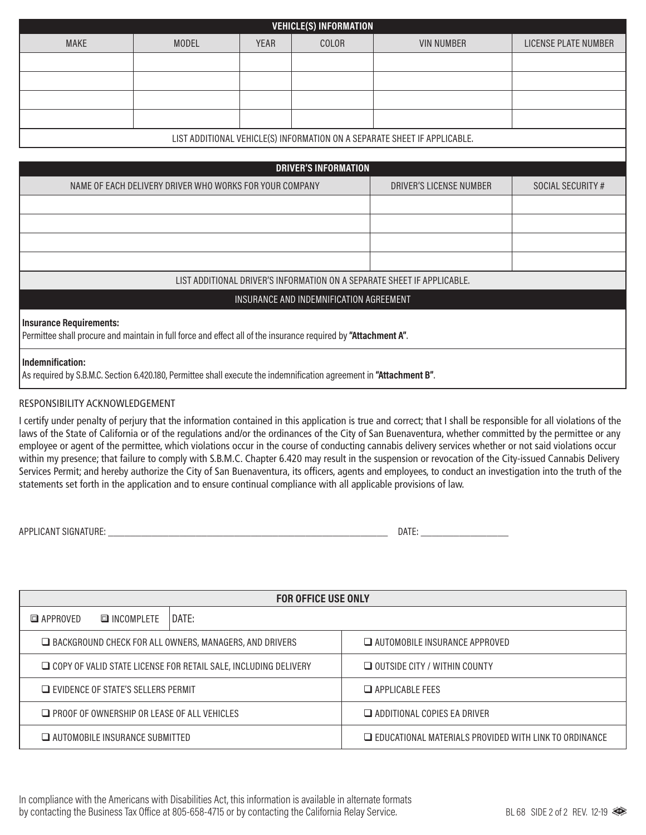| <b>VEHICLE(S) INFORMATION</b>                                             |              |             |       |                   |                      |  |
|---------------------------------------------------------------------------|--------------|-------------|-------|-------------------|----------------------|--|
| <b>MAKE</b>                                                               | <b>MODEL</b> | <b>YEAR</b> | COLOR | <b>VIN NUMBER</b> | LICENSE PLATE NUMBER |  |
|                                                                           |              |             |       |                   |                      |  |
|                                                                           |              |             |       |                   |                      |  |
|                                                                           |              |             |       |                   |                      |  |
|                                                                           |              |             |       |                   |                      |  |
| LIST ADDITIONAL VEHICLE(S) INFORMATION ON A SEPARATE SHEET IF APPLICABLE. |              |             |       |                   |                      |  |
|                                                                           |              |             |       |                   |                      |  |
| <b>DRIVER'S INFORMATION</b>                                               |              |             |       |                   |                      |  |
|                                                                           |              |             |       |                   |                      |  |

| NAME OF EACH DELIVERY DRIVER WHO WORKS FOR YOUR COMPANY                                                                                   | DRIVER'S LICENSE NUMBER | SOCIAL SECURITY # |  |  |
|-------------------------------------------------------------------------------------------------------------------------------------------|-------------------------|-------------------|--|--|
|                                                                                                                                           |                         |                   |  |  |
|                                                                                                                                           |                         |                   |  |  |
|                                                                                                                                           |                         |                   |  |  |
|                                                                                                                                           |                         |                   |  |  |
| LIST ADDITIONAL DRIVER'S INFORMATION ON A SEPARATE SHEET IF APPLICABLE.                                                                   |                         |                   |  |  |
| INSURANCE AND INDEMNIFICATION AGREEMENT                                                                                                   |                         |                   |  |  |
| Insurance Requirements:<br>Permittee shall procure and maintain in full force and effect all of the insurance required by "Attachment A". |                         |                   |  |  |
| Indemnification:<br>As required by S.B.M.C. Section 6.420.180, Permittee shall execute the indemnification agreement in "Attachment B".   |                         |                   |  |  |

#### RESPONSIBILITY ACKNOWLEDGEMENT

I certify under penalty of perjury that the information contained in this application is true and correct; that I shall be responsible for all violations of the laws of the State of California or of the regulations and/or the ordinances of the City of San Buenaventura, whether committed by the permittee or any employee or agent of the permittee, which violations occur in the course of conducting cannabis delivery services whether or not said violations occur within my presence; that failure to comply with S.B.M.C. Chapter 6.420 may result in the suspension or revocation of the City-issued Cannabis Delivery Services Permit; and hereby authorize the City of San Buenaventura, its officers, agents and employees, to conduct an investigation into the truth of the statements set forth in the application and to ensure continual compliance with all applicable provisions of law.

APPLICANT SIGNATURE: \_\_\_\_\_\_\_\_\_\_\_\_\_\_\_\_\_\_\_\_\_\_\_\_\_\_\_\_\_\_\_\_\_\_\_\_\_\_\_\_\_\_\_\_\_\_\_\_\_\_\_ DATE: \_\_\_\_\_\_\_\_\_\_\_\_\_\_\_\_

| <b>FOR OFFICE USE ONLY</b>                                             |            |       |                                                              |  |  |
|------------------------------------------------------------------------|------------|-------|--------------------------------------------------------------|--|--|
| APPROVED                                                               | INCOMPLETE | DATE: |                                                              |  |  |
| $\Box$ BACKGROUND CHECK FOR ALL OWNERS, MANAGERS, AND DRIVERS          |            |       | $\Box$ AUTOMOBILE INSURANCE APPROVED                         |  |  |
| $\Box$ COPY OF VALID STATE LICENSE FOR RETAIL SALE, INCLUDING DELIVERY |            |       | $\Box$ OUTSIDE CITY / WITHIN COUNTY                          |  |  |
| $\Box$ EVIDENCE OF STATE'S SELLERS PERMIT                              |            |       | $\Box$ APPI ICABI F FFFS                                     |  |  |
| $\Box$ PROOF OF OWNERSHIP OR LEASE OF ALL VEHICLES                     |            |       | $\Box$ ADDITIONAL COPIES EA DRIVER                           |  |  |
| $\Box$ AUTOMOBILE INSURANCE SUBMITTED                                  |            |       | $\Box$ EDUCATIONAL MATERIALS PROVIDED WITH LINK TO ORDINANCE |  |  |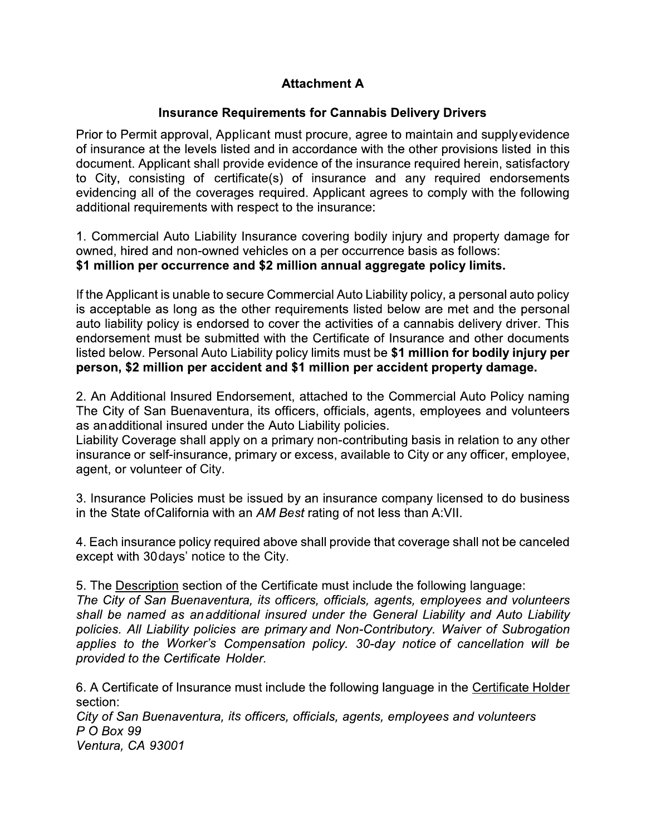## **Attachment A**

### **Insurance Requirements for Cannabis Delivery Drivers**

Prior to Permit approval, Applicant must procure, agree to maintain and supply evidence of insurance at the levels listed and in accordance with the other provisions listed in this document. Applicant shall provide evidence of the insurance required herein, satisfactory to City, consisting of certificate(s) of insurance and any required endorsements evidencing all of the coverages required. Applicant agrees to comply with the following additional requirements with respect to the insurance:

1. Commercial Auto Liability Insurance covering bodily injury and property damage for owned, hired and non-owned vehicles on a per occurrence basis as follows: \$1 million per occurrence and \$2 million annual aggregate policy limits.

If the Applicant is unable to secure Commercial Auto Liability policy, a personal auto policy is acceptable as long as the other requirements listed below are met and the personal auto liability policy is endorsed to cover the activities of a cannabis delivery driver. This endorsement must be submitted with the Certificate of Insurance and other documents listed below. Personal Auto Liability policy limits must be \$1 million for bodily injury per person, \$2 million per accident and \$1 million per accident property damage.

2. An Additional Insured Endorsement, attached to the Commercial Auto Policy naming The City of San Buenaventura, its officers, officials, agents, employees and volunteers as anadditional insured under the Auto Liability policies.

Liability Coverage shall apply on a primary non-contributing basis in relation to any other insurance or self-insurance, primary or excess, available to City or any officer, employee, agent, or volunteer of City.

3. Insurance Policies must be issued by an insurance company licensed to do business in the State of California with an AM Best rating of not less than A:VII.

4. Each insurance policy required above shall provide that coverage shall not be canceled except with 30 days' notice to the City.

5. The Description section of the Certificate must include the following language: The City of San Buenaventura, its officers, officials, agents, employees and volunteers shall be named as anadditional insured under the General Liability and Auto Liability policies. All Liability policies are primary and Non-Contributory. Waiver of Subrogation applies to the Worker's Compensation policy. 30-day notice of cancellation will be provided to the Certificate Holder.

6. A Certificate of Insurance must include the following language in the Certificate Holder section:

City of San Buenaventura, its officers, officials, agents, employees and volunteers P O Box 99

Ventura, CA 93001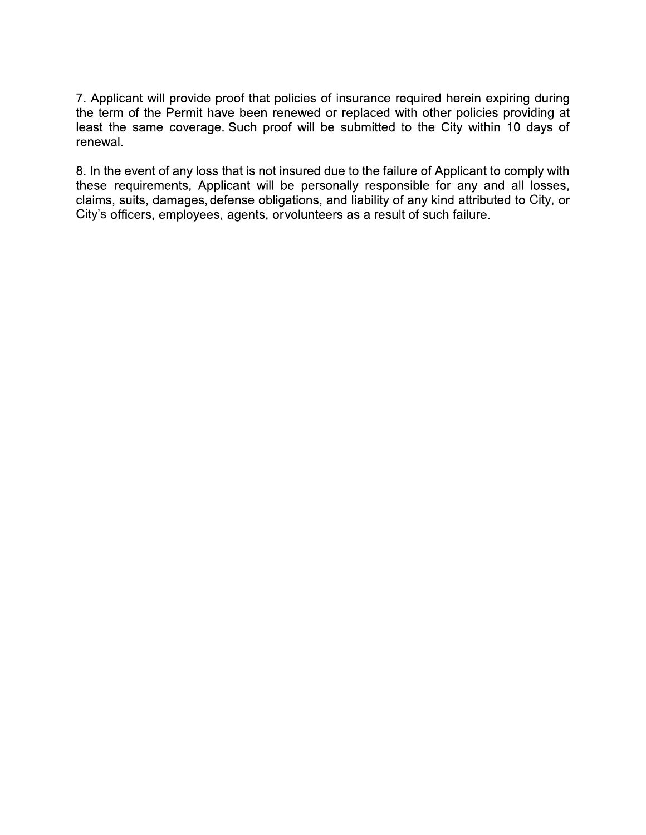7. Applicant will provide proof that policies of insurance required herein expiring during the term of the Permit have been renewed or replaced with other policies providing at least the same coverage. Such proof will be submitted to the City within 10 days of renewal.

8. In the event of any loss that is not insured due to the failure of Applicant to comply with these requirements, Applicant will be personally responsible for any and all losses, claims, suits, damages, defense obligations, and liability of any kind attributed to City, or City's officers, employees, agents, or volunteers as a result of such failure.